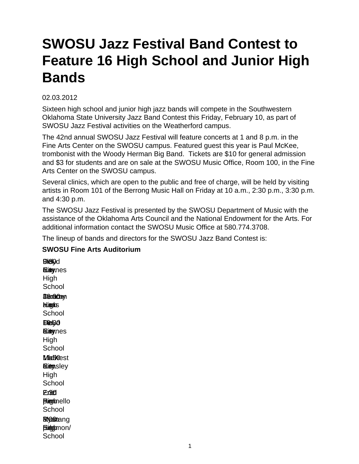# **SWOSU Jazz Festival Band Contest to Feature 16 High School and Junior High Bands**

## 02.03.2012

Sixteen high school and junior high jazz bands will compete in the Southwestern Oklahoma State University Jazz Band Contest this Friday, February 10, as part of SWOSU Jazz Festival activities on the Weatherford campus.

The 42nd annual SWOSU Jazz Festival will feature concerts at 1 and 8 p.m. in the Fine Arts Center on the SWOSU campus. Featured guest this year is Paul McKee, trombonist with the Woody Herman Big Band. Tickets are \$10 for general admission and \$3 for students and are on sale at the SWOSU Music Office, Room 100, in the Fine Arts Center on the SWOSU campus.

Several clinics, which are open to the public and free of charge, will be held by visiting artists in Room 101 of the Berrong Music Hall on Friday at 10 a.m., 2:30 p.m., 3:30 p.m. and 4:30 p.m.

The SWOSU Jazz Festival is presented by the SWOSU Department of Music with the assistance of the Oklahoma Arts Council and the National Endowment for the Arts. For additional information contact the SWOSU Music Office at 580.774.3708.

The lineup of bands and directors for the SWOSU Jazz Band Contest is:

### **SWOSU Fine Arts Auditorium**

**EDielyd a.imynes** High **School** Jenacay a.m. High Haas **School Elei**30 **Elingynes** High **School Madoest ELiem**sley **High School** 2:30 Enid Eric **Pigmello School Bytstang** Blooghmon/ **School**